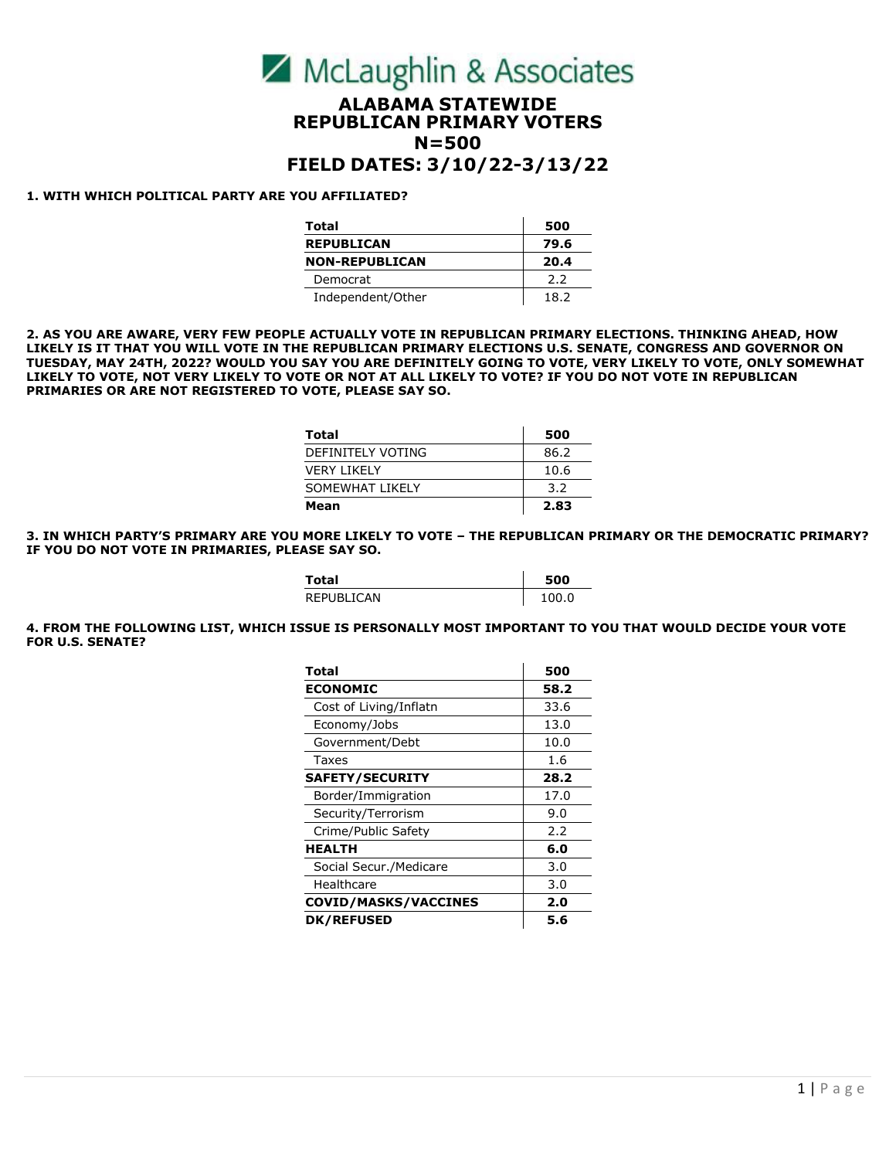

# **ALABAMA STATEWIDE REPUBLICAN PRIMARY VOTERS N=500**

# **FIELD DATES: 3/10/22-3/13/22**

#### **1. WITH WHICH POLITICAL PARTY ARE YOU AFFILIATED?**

| Total                 | 500  |
|-----------------------|------|
| <b>REPUBLICAN</b>     | 79.6 |
| <b>NON-REPUBLICAN</b> | 20.4 |
| Democrat              | 2.2  |
| Independent/Other     | 18.2 |

**2. AS YOU ARE AWARE, VERY FEW PEOPLE ACTUALLY VOTE IN REPUBLICAN PRIMARY ELECTIONS. THINKING AHEAD, HOW LIKELY IS IT THAT YOU WILL VOTE IN THE REPUBLICAN PRIMARY ELECTIONS U.S. SENATE, CONGRESS AND GOVERNOR ON TUESDAY, MAY 24TH, 2022? WOULD YOU SAY YOU ARE DEFINITELY GOING TO VOTE, VERY LIKELY TO VOTE, ONLY SOMEWHAT LIKELY TO VOTE, NOT VERY LIKELY TO VOTE OR NOT AT ALL LIKELY TO VOTE? IF YOU DO NOT VOTE IN REPUBLICAN PRIMARIES OR ARE NOT REGISTERED TO VOTE, PLEASE SAY SO.**

| Total             | 500  |
|-------------------|------|
| DEFINITELY VOTING | 86.2 |
| VFRY I IKFI Y     | 10.6 |
| SOMEWHAT LIKELY   | 3.2  |
| Mean              | 2.83 |

**3. IN WHICH PARTY'S PRIMARY ARE YOU MORE LIKELY TO VOTE – THE REPUBLICAN PRIMARY OR THE DEMOCRATIC PRIMARY? IF YOU DO NOT VOTE IN PRIMARIES, PLEASE SAY SO.**

| Total      | 500    |
|------------|--------|
| REPUBLICAN | 1 በበ በ |

**4. FROM THE FOLLOWING LIST, WHICH ISSUE IS PERSONALLY MOST IMPORTANT TO YOU THAT WOULD DECIDE YOUR VOTE FOR U.S. SENATE?** 

| Total                       | 500  |
|-----------------------------|------|
| <b>ECONOMIC</b>             | 58.2 |
| Cost of Living/Inflatn      | 33.6 |
| Economy/Jobs                | 13.0 |
| Government/Debt             | 10.0 |
| Taxes                       | 1.6  |
| <b>SAFETY/SECURITY</b>      | 28.2 |
| Border/Immigration          | 17.0 |
| Security/Terrorism          | 9.0  |
| Crime/Public Safety         | 2.2  |
| <b>HEALTH</b>               | 6.0  |
| Social Secur./Medicare      | 3.0  |
| Healthcare                  | 3.0  |
| <b>COVID/MASKS/VACCINES</b> | 2.0  |
| <b>DK/REFUSED</b>           | 5.6  |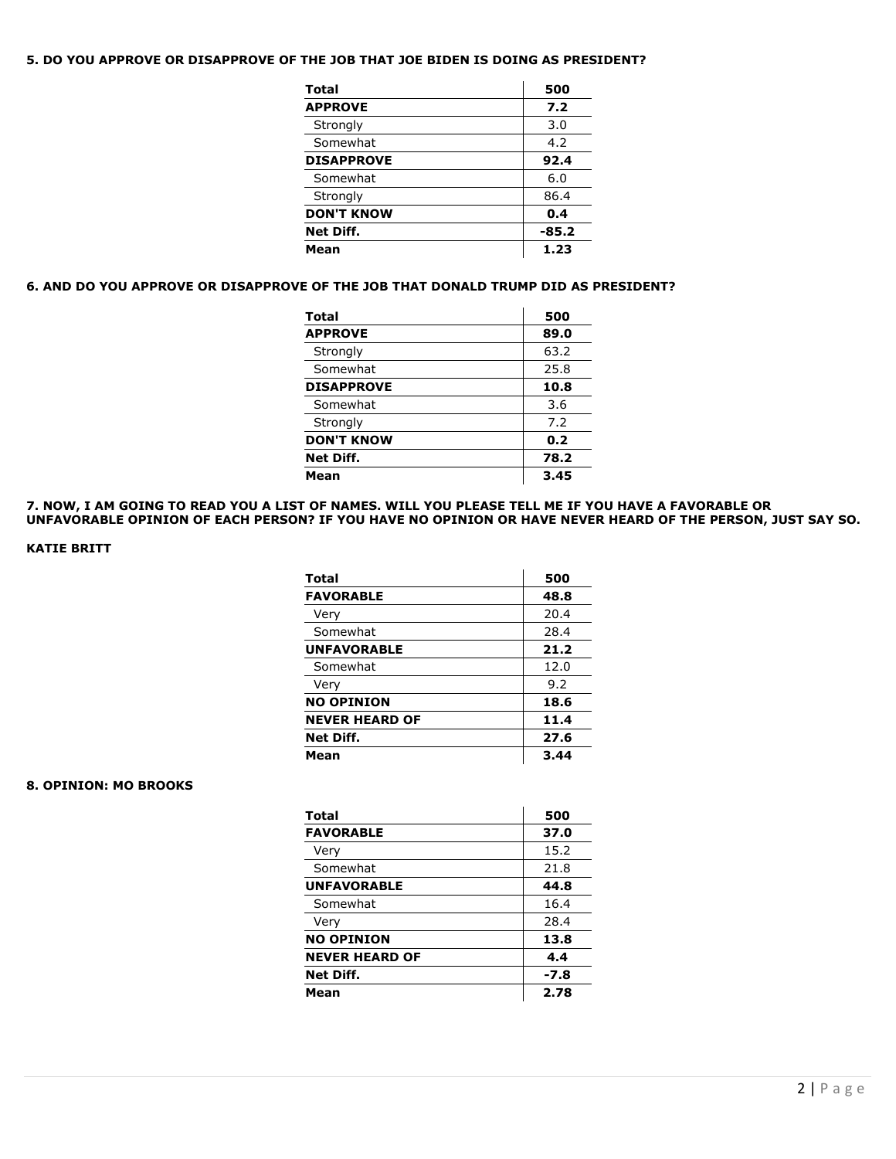# **5. DO YOU APPROVE OR DISAPPROVE OF THE JOB THAT JOE BIDEN IS DOING AS PRESIDENT?**

| Total             | 500     |
|-------------------|---------|
| <b>APPROVE</b>    | 7.2     |
| Strongly          | 3.0     |
| Somewhat          | 4.2     |
| <b>DISAPPROVE</b> | 92.4    |
| Somewhat          | 6.0     |
| Strongly          | 86.4    |
| <b>DON'T KNOW</b> | 0.4     |
| Net Diff.         | $-85.2$ |
| Mean              | 1.23    |

### **6. AND DO YOU APPROVE OR DISAPPROVE OF THE JOB THAT DONALD TRUMP DID AS PRESIDENT?**

| Total             | 500  |
|-------------------|------|
| <b>APPROVE</b>    | 89.0 |
| Strongly          | 63.2 |
| Somewhat          | 25.8 |
| <b>DISAPPROVE</b> | 10.8 |
| Somewhat          | 3.6  |
| Strongly          | 7.2  |
| <b>DON'T KNOW</b> | 0.2  |
| Net Diff.         | 78.2 |
| Mean              | 3.45 |

**7. NOW, I AM GOING TO READ YOU A LIST OF NAMES. WILL YOU PLEASE TELL ME IF YOU HAVE A FAVORABLE OR UNFAVORABLE OPINION OF EACH PERSON? IF YOU HAVE NO OPINION OR HAVE NEVER HEARD OF THE PERSON, JUST SAY SO.** 

# **KATIE BRITT**

| <b>Total</b>          | 500  |
|-----------------------|------|
| <b>FAVORABLE</b>      | 48.8 |
| Very                  | 20.4 |
| Somewhat              | 28.4 |
| <b>UNFAVORABLE</b>    | 21.2 |
| Somewhat              | 12.0 |
| Very                  | 9.2  |
| <b>NO OPINION</b>     | 18.6 |
| <b>NEVER HEARD OF</b> | 11.4 |
| Net Diff.             | 27.6 |
| Mean                  | 3.44 |

# **8. OPINION: MO BROOKS**

| <b>Total</b>          | 500  |
|-----------------------|------|
| <b>FAVORABLE</b>      | 37.0 |
| Very                  | 15.2 |
| Somewhat              | 21.8 |
| <b>UNFAVORABLE</b>    | 44.8 |
| Somewhat              | 16.4 |
| Very                  | 28.4 |
| <b>NO OPINION</b>     | 13.8 |
| <b>NEVER HEARD OF</b> | 4.4  |
| Net Diff.             | -7.8 |
| Mean                  | 2.78 |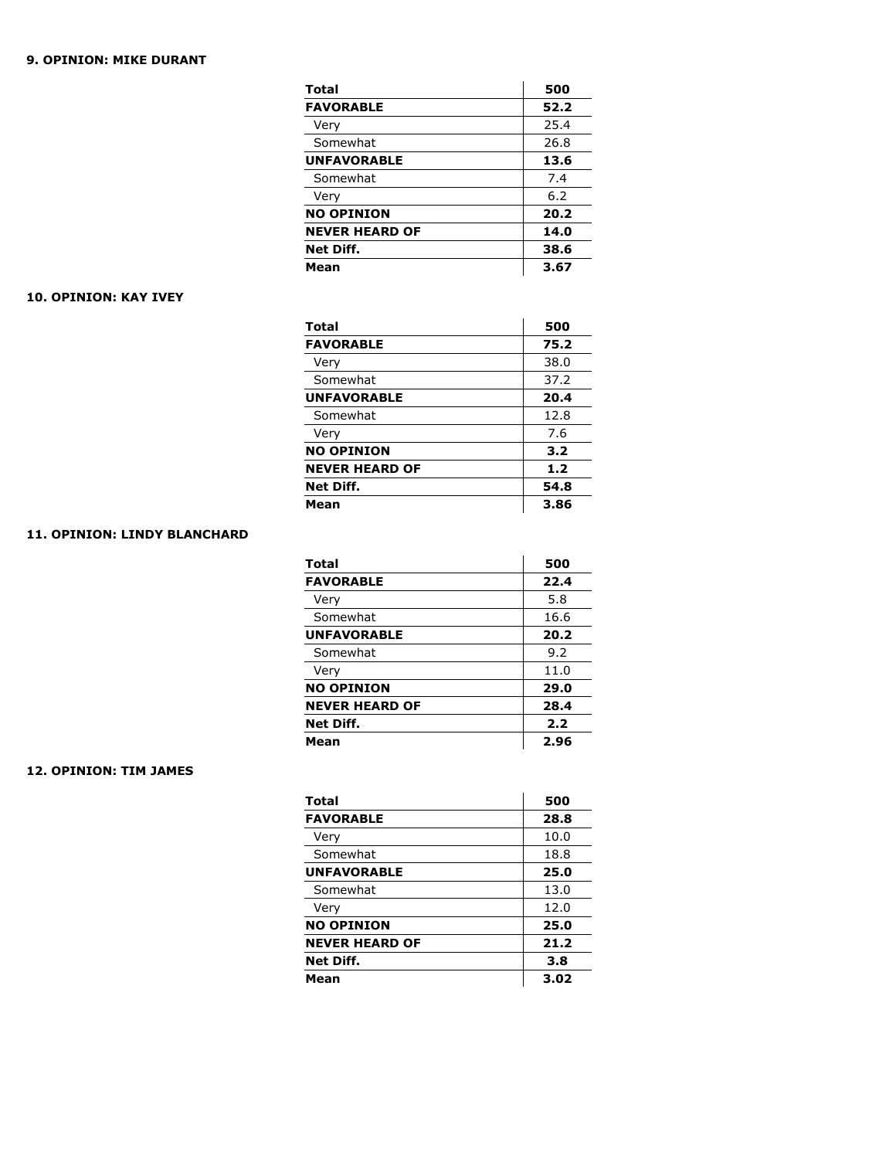## **9. OPINION: MIKE DURANT**

| <b>Total</b>          | 500  |
|-----------------------|------|
| <b>FAVORABLE</b>      | 52.2 |
| Very                  | 25.4 |
| Somewhat              | 26.8 |
| <b>UNFAVORABLE</b>    | 13.6 |
| Somewhat              | 7.4  |
| Very                  | 6.2  |
| <b>NO OPINION</b>     | 20.2 |
| <b>NEVER HEARD OF</b> | 14.0 |
| Net Diff.             | 38.6 |
| Mean                  | 3.67 |

### **10. OPINION: KAY IVEY**

| <b>Total</b>          | 500   |
|-----------------------|-------|
| <b>FAVORABLE</b>      | 75.2  |
| Very                  | 38.0  |
| Somewhat              | 37.2  |
| <b>UNFAVORABLE</b>    | 20.4  |
| Somewhat              | 12.8  |
| Very                  | 7.6   |
| <b>NO OPINION</b>     | 3.2   |
| <b>NEVER HEARD OF</b> | $1.2$ |
| Net Diff.             | 54.8  |
| Mean                  | 3.86  |

# **11. OPINION: LINDY BLANCHARD**

| <b>Total</b>          | 500  |
|-----------------------|------|
| <b>FAVORABLE</b>      | 22.4 |
| Very                  | 5.8  |
| Somewhat              | 16.6 |
| <b>UNFAVORABLE</b>    | 20.2 |
| Somewhat              | 9.2  |
| Very                  | 11.0 |
| <b>NO OPINION</b>     | 29.0 |
| <b>NEVER HEARD OF</b> | 28.4 |
| Net Diff.             | 2.2  |
| Mean                  | 2.96 |

# **12. OPINION: TIM JAMES**

| 500  |
|------|
| 28.8 |
| 10.0 |
| 18.8 |
| 25.0 |
| 13.0 |
| 12.0 |
| 25.0 |
| 21.2 |
| 3.8  |
| 3.02 |
|      |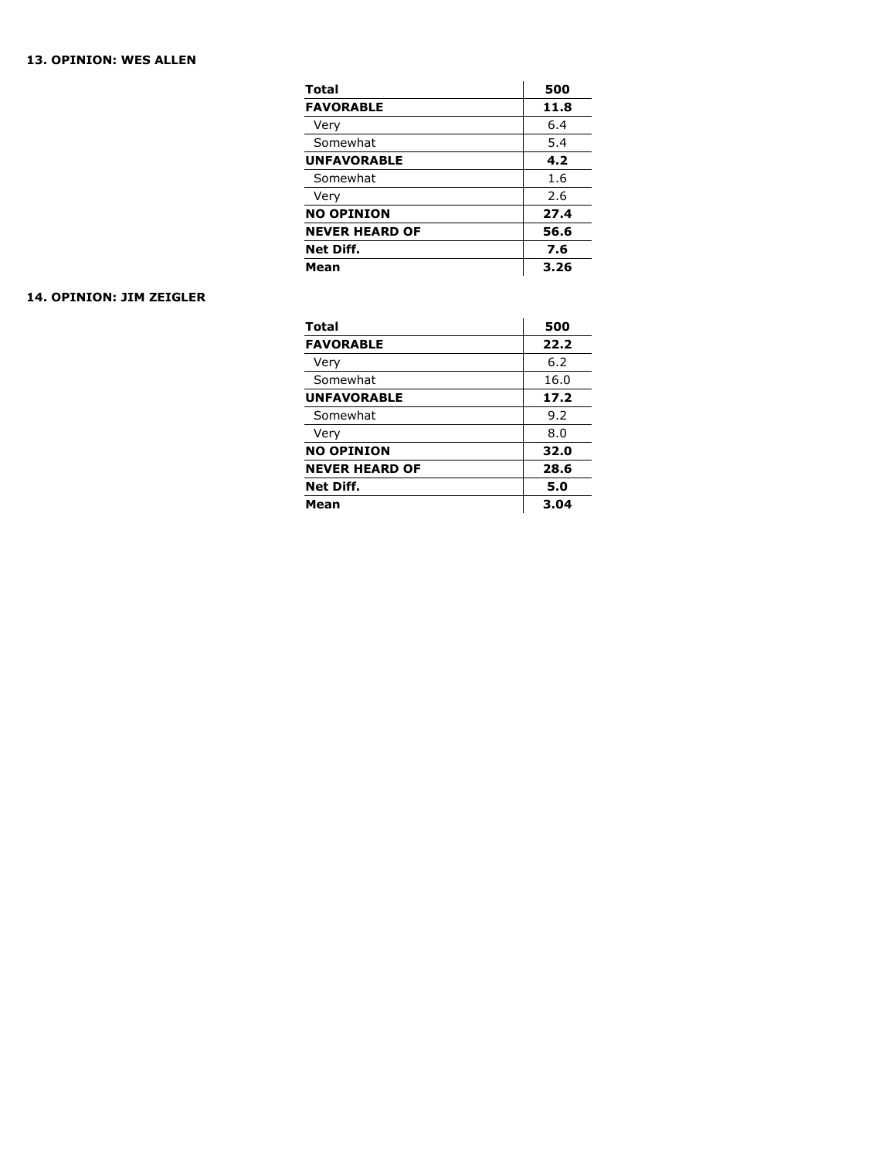# **13. OPINION: WES ALLEN**

| <b>Total</b>          | 500  |
|-----------------------|------|
| <b>FAVORABLE</b>      | 11.8 |
| Very                  | 6.4  |
| Somewhat              | 5.4  |
| <b>UNFAVORABLE</b>    | 4.2  |
| Somewhat              | 1.6  |
| Very                  | 2.6  |
| <b>NO OPINION</b>     | 27.4 |
| <b>NEVER HEARD OF</b> | 56.6 |
| <b>Net Diff.</b>      | 7.6  |
| Mean                  | 3.26 |

### **14. OPINION: JIM ZEIGLER**

| <b>Total</b>          | 500  |
|-----------------------|------|
| <b>FAVORABLE</b>      | 22.2 |
| Very                  | 6.2  |
| Somewhat              | 16.0 |
| <b>UNFAVORABLE</b>    | 17.2 |
| Somewhat              | 9.2  |
| Very                  | 8.0  |
| <b>NO OPINION</b>     | 32.0 |
| <b>NEVER HEARD OF</b> | 28.6 |
| <b>Net Diff.</b>      | 5.0  |
| Mean                  | 3.04 |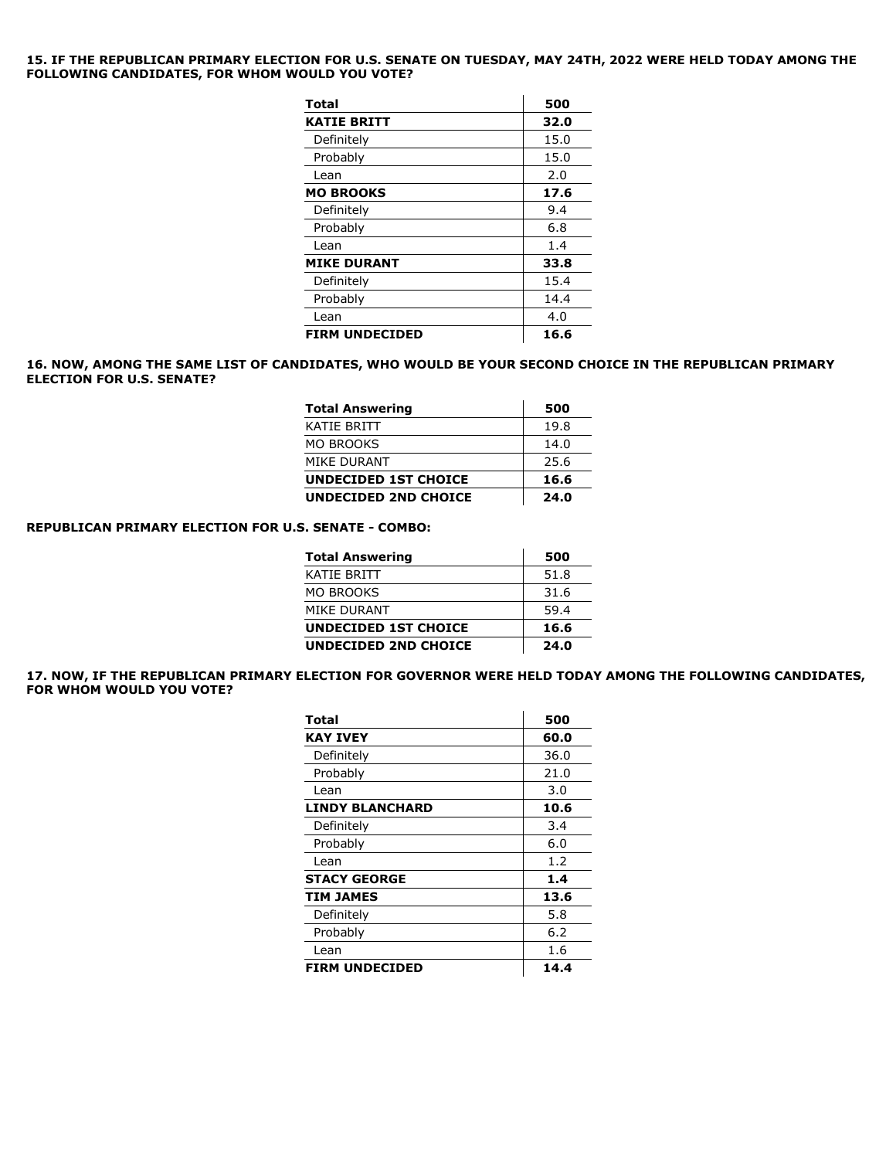#### **15. IF THE REPUBLICAN PRIMARY ELECTION FOR U.S. SENATE ON TUESDAY, MAY 24TH, 2022 WERE HELD TODAY AMONG THE FOLLOWING CANDIDATES, FOR WHOM WOULD YOU VOTE?**

| <b>Total</b>          | 500  |
|-----------------------|------|
| <b>KATIE BRITT</b>    | 32.0 |
| Definitely            | 15.0 |
| Probably              | 15.0 |
| Lean                  | 2.0  |
| <b>MO BROOKS</b>      | 17.6 |
| Definitely            | 9.4  |
| Probably              | 6.8  |
| Lean                  | 1.4  |
| <b>MIKE DURANT</b>    | 33.8 |
| Definitely            | 15.4 |
| Probably              | 14.4 |
| Lean                  | 4.0  |
| <b>FIRM UNDECIDED</b> | 16.6 |

#### **16. NOW, AMONG THE SAME LIST OF CANDIDATES, WHO WOULD BE YOUR SECOND CHOICE IN THE REPUBLICAN PRIMARY ELECTION FOR U.S. SENATE?**

| <b>Total Answering</b>      | 500  |
|-----------------------------|------|
| KATIE BRITT                 | 19.8 |
| MO BROOKS                   | 14.0 |
| MIKE DURANT                 | 25.6 |
| <b>UNDECIDED 1ST CHOICE</b> | 16.6 |
| <b>UNDECIDED 2ND CHOICE</b> | 24.0 |

#### **REPUBLICAN PRIMARY ELECTION FOR U.S. SENATE - COMBO:**

| <b>Total Answering</b>      | 500  |
|-----------------------------|------|
| KATIE BRITT                 | 51.8 |
| MO BROOKS                   | 31.6 |
| MIKE DURANT                 | 59.4 |
| <b>UNDECIDED 1ST CHOICE</b> | 16.6 |
| <b>UNDECIDED 2ND CHOICE</b> | 24.0 |

**17. NOW, IF THE REPUBLICAN PRIMARY ELECTION FOR GOVERNOR WERE HELD TODAY AMONG THE FOLLOWING CANDIDATES, FOR WHOM WOULD YOU VOTE?** 

| Total                  | 500  |
|------------------------|------|
| KAY IVEY               | 60.0 |
| Definitely             | 36.0 |
| Probably               | 21.0 |
| Lean                   | 3.0  |
| <b>LINDY BLANCHARD</b> | 10.6 |
| Definitely             | 3.4  |
| Probably               | 6.0  |
| Lean                   | 1.2  |
| <b>STACY GEORGE</b>    | 1.4  |
| <b>TIM JAMES</b>       | 13.6 |
| Definitely             | 5.8  |
| Probably               | 6.2  |
| Lean                   | 1.6  |
| <b>FIRM UNDECIDED</b>  | 14.4 |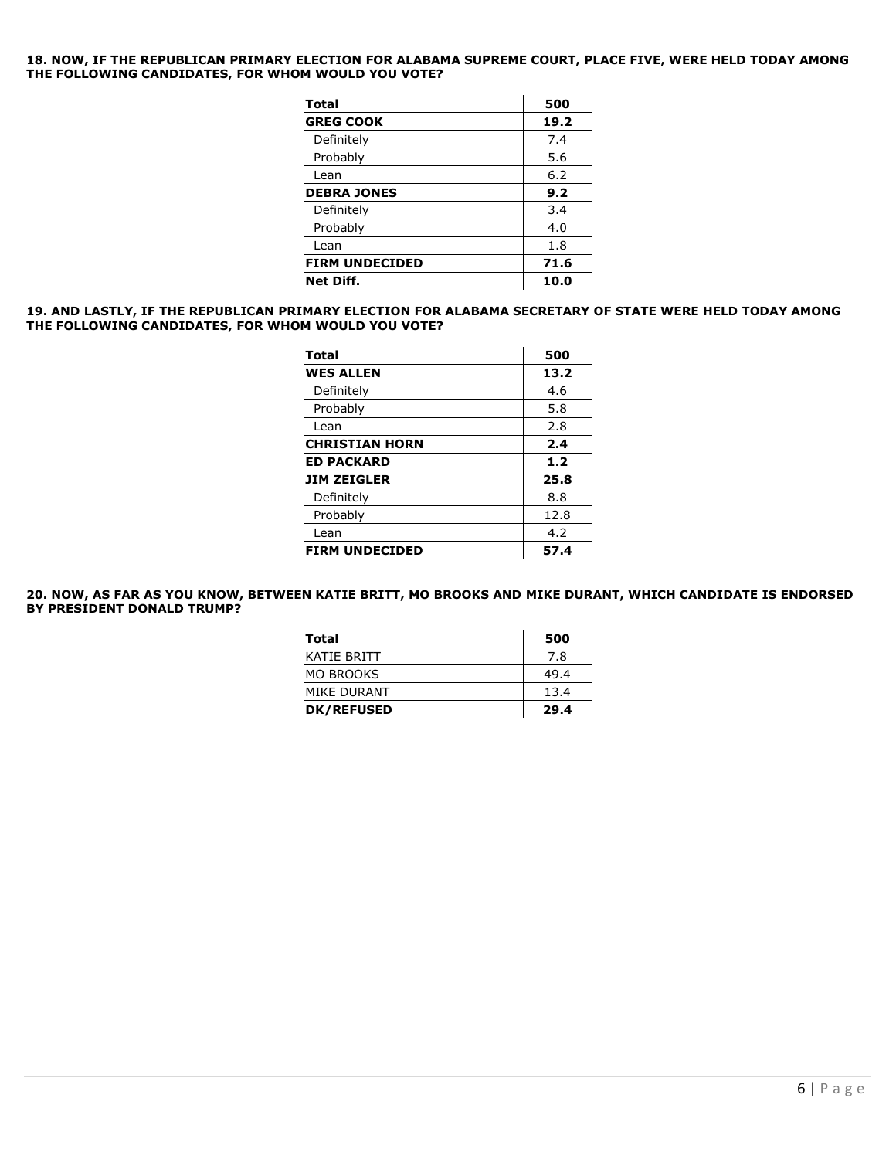**18. NOW, IF THE REPUBLICAN PRIMARY ELECTION FOR ALABAMA SUPREME COURT, PLACE FIVE, WERE HELD TODAY AMONG THE FOLLOWING CANDIDATES, FOR WHOM WOULD YOU VOTE?** 

| Total                 | 500  |
|-----------------------|------|
| <b>GREG COOK</b>      | 19.2 |
| Definitely            | 7.4  |
| Probably              | 5.6  |
| Lean                  | 6.2  |
| <b>DEBRA JONES</b>    | 9.2  |
| Definitely            | 3.4  |
| Probably              | 4.0  |
| Lean                  | 1.8  |
| <b>FIRM UNDECIDED</b> | 71.6 |
| <b>Net Diff.</b>      | 10.0 |

#### **19. AND LASTLY, IF THE REPUBLICAN PRIMARY ELECTION FOR ALABAMA SECRETARY OF STATE WERE HELD TODAY AMONG THE FOLLOWING CANDIDATES, FOR WHOM WOULD YOU VOTE?**

| Total                 | 500  |
|-----------------------|------|
| <b>WES ALLEN</b>      | 13.2 |
| Definitely            | 4.6  |
| Probably              | 5.8  |
| Lean                  | 2.8  |
| <b>CHRISTIAN HORN</b> | 2.4  |
| <b>ED PACKARD</b>     | 1.2  |
| <b>JIM ZEIGLER</b>    | 25.8 |
| Definitely            | 8.8  |
| Probably              | 12.8 |
| Lean                  | 4.2  |
| <b>FIRM UNDECIDED</b> | 57.4 |

**20. NOW, AS FAR AS YOU KNOW, BETWEEN KATIE BRITT, MO BROOKS AND MIKE DURANT, WHICH CANDIDATE IS ENDORSED BY PRESIDENT DONALD TRUMP?**

| Total             | 500  |
|-------------------|------|
| KATIF BRITT       | 7.8  |
| <b>MO BROOKS</b>  | 49.4 |
| MIKE DURANT       | 13.4 |
| <b>DK/REFUSED</b> | 29.4 |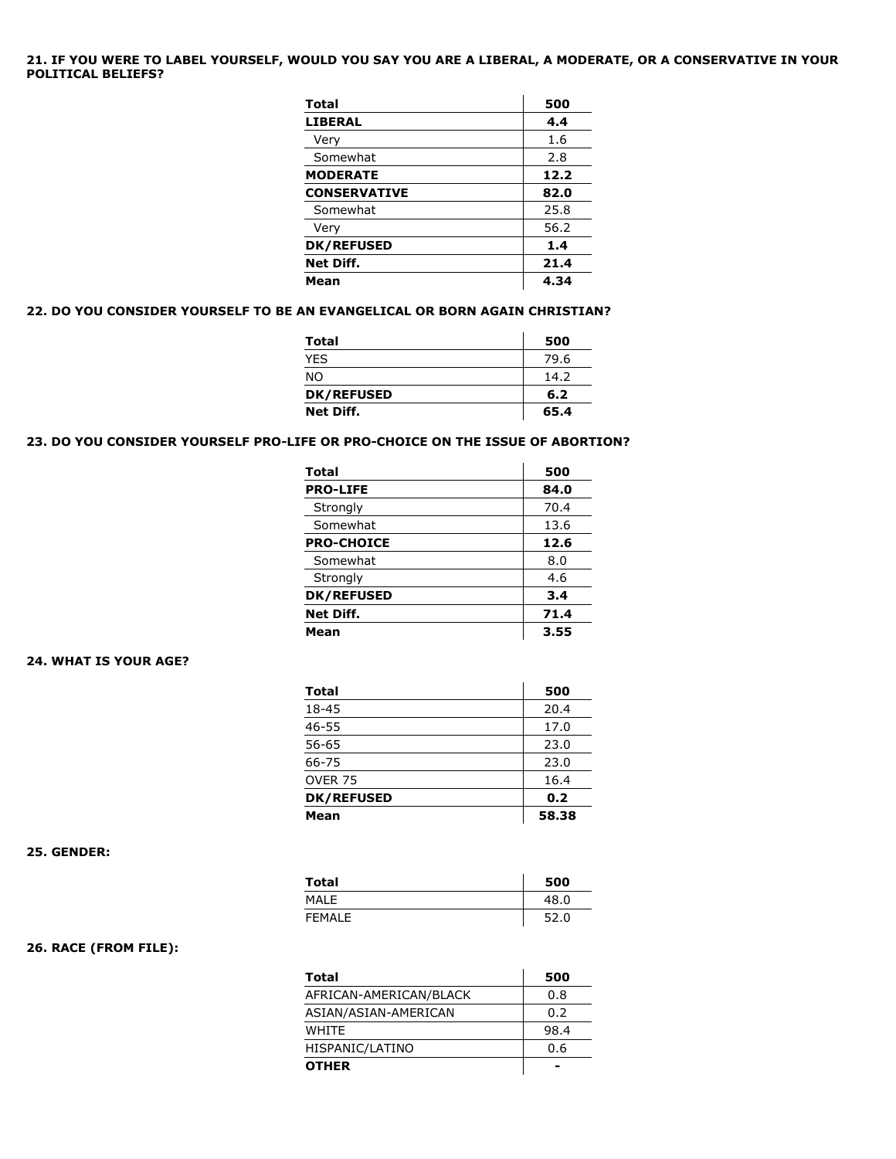### **21. IF YOU WERE TO LABEL YOURSELF, WOULD YOU SAY YOU ARE A LIBERAL, A MODERATE, OR A CONSERVATIVE IN YOUR POLITICAL BELIEFS?**

| <b>Total</b>        | 500  |
|---------------------|------|
| <b>LIBERAL</b>      | 4.4  |
| Very                | 1.6  |
| Somewhat            | 2.8  |
| <b>MODERATE</b>     | 12.2 |
| <b>CONSERVATIVE</b> | 82.0 |
| Somewhat            | 25.8 |
| Very                | 56.2 |
| <b>DK/REFUSED</b>   | 1.4  |
| Net Diff.           | 21.4 |
| Mean                | 4.34 |

# **22. DO YOU CONSIDER YOURSELF TO BE AN EVANGELICAL OR BORN AGAIN CHRISTIAN?**

| <b>Total</b>      | 500  |
|-------------------|------|
| <b>YFS</b>        | 79.6 |
| <b>NO</b>         | 14.2 |
| <b>DK/REFUSED</b> | 6.2  |
| Net Diff.         | 65.4 |

 $\mathcal{L}$ 

#### **23. DO YOU CONSIDER YOURSELF PRO-LIFE OR PRO-CHOICE ON THE ISSUE OF ABORTION?**

| <b>Total</b>      | 500  |
|-------------------|------|
| <b>PRO-LIFE</b>   | 84.0 |
| Strongly          | 70.4 |
| Somewhat          | 13.6 |
| <b>PRO-CHOICE</b> | 12.6 |
| Somewhat          | 8.0  |
| Strongly          | 4.6  |
| <b>DK/REFUSED</b> | 3.4  |
| Net Diff.         | 71.4 |
| Mean              | 3.55 |

## **24. WHAT IS YOUR AGE?**

| <b>Total</b>      | 500   |
|-------------------|-------|
| 18-45             | 20.4  |
| $46 - 55$         | 17.0  |
| $56 - 65$         | 23.0  |
| 66-75             | 23.0  |
| <b>OVER 75</b>    | 16.4  |
| <b>DK/REFUSED</b> | 0.2   |
| Mean              | 58.38 |

#### **25. GENDER:**

| Total   | 500  |
|---------|------|
| MALE    | 48.0 |
| FFMAI F | 52.0 |

# **26. RACE (FROM FILE):**

| Total                  | 500  |
|------------------------|------|
| AFRICAN-AMERICAN/BLACK | 0.8  |
| ASIAN/ASIAN-AMERICAN   | 0.2  |
| <b>WHITF</b>           | 98.4 |
| HISPANIC/LATINO        | 0.6  |
| <b>OTHER</b>           |      |